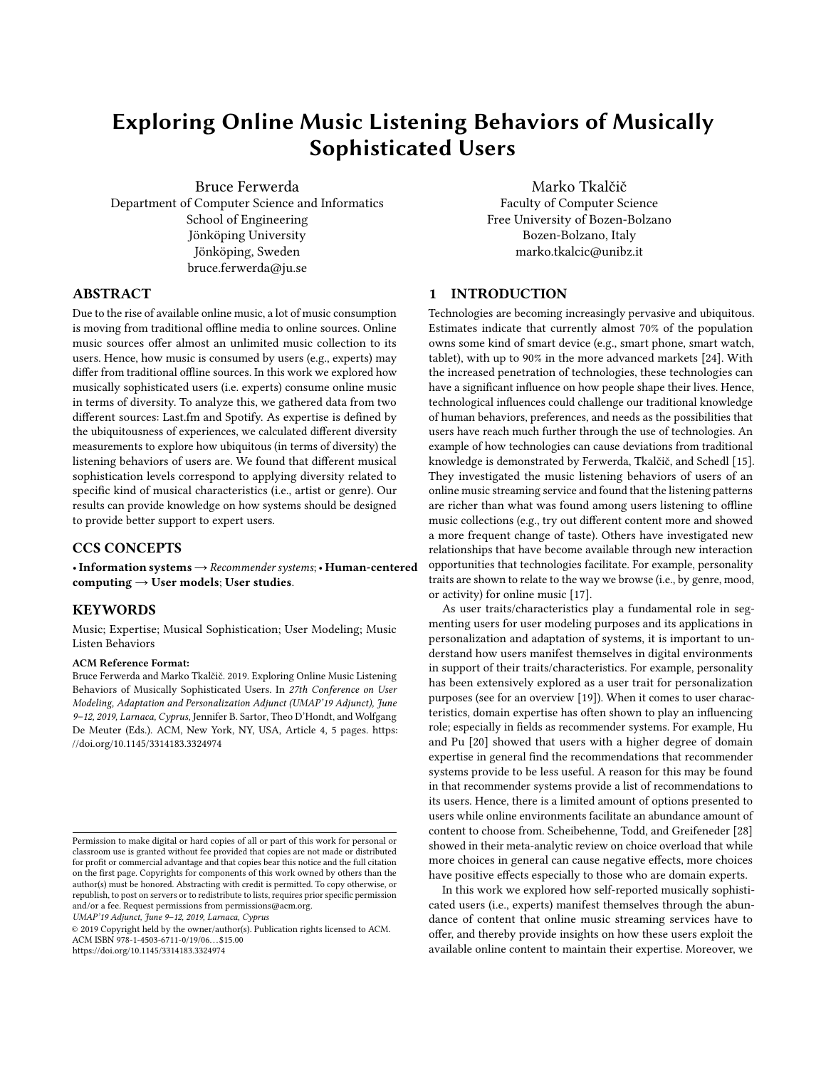# Exploring Online Music Listening Behaviors of Musically Sophisticated Users

Bruce Ferwerda Department of Computer Science and Informatics School of Engineering Jönköping University Jönköping, Sweden bruce.ferwerda@ju.se

Marko Tkalčič Faculty of Computer Science Free University of Bozen-Bolzano Bozen-Bolzano, Italy marko.tkalcic@unibz.it

## ABSTRACT

Due to the rise of available online music, a lot of music consumption is moving from traditional offline media to online sources. Online music sources offer almost an unlimited music collection to its users. Hence, how music is consumed by users (e.g., experts) may differ from traditional offline sources. In this work we explored how musically sophisticated users (i.e. experts) consume online music in terms of diversity. To analyze this, we gathered data from two different sources: Last.fm and Spotify. As expertise is defined by the ubiquitousness of experiences, we calculated different diversity measurements to explore how ubiquitous (in terms of diversity) the listening behaviors of users are. We found that different musical sophistication levels correspond to applying diversity related to specific kind of musical characteristics (i.e., artist or genre). Our results can provide knowledge on how systems should be designed to provide better support to expert users.

# CCS CONCEPTS

•Information systems→Recommender systems;• Human-centered computing  $\rightarrow$  User models; User studies.

## **KEYWORDS**

Music; Expertise; Musical Sophistication; User Modeling; Music Listen Behaviors

#### ACM Reference Format:

Bruce Ferwerda and Marko Tkalčič. 2019. Exploring Online Music Listening Behaviors of Musically Sophisticated Users. In 27th Conference on User Modeling, Adaptation and Personalization Adjunct (UMAP'19 Adjunct), June 9–12, 2019, Larnaca, Cyprus, Jennifer B. Sartor, Theo D'Hondt, and Wolfgang De Meuter (Eds.). ACM, New York, NY, USA, Article 4, [5](#page-4-0) pages. [https:](https://doi.org/10.1145/3314183.3324974) [//doi.org/10.1145/3314183.3324974](https://doi.org/10.1145/3314183.3324974)

UMAP'19 Adjunct, June 9–12, 2019, Larnaca, Cyprus

© 2019 Copyright held by the owner/author(s). Publication rights licensed to ACM. ACM ISBN 978-1-4503-6711-0/19/06. . . \$15.00 <https://doi.org/10.1145/3314183.3324974>

#### 1 INTRODUCTION

Technologies are becoming increasingly pervasive and ubiquitous. Estimates indicate that currently almost 70% of the population owns some kind of smart device (e.g., smart phone, smart watch, tablet), with up to 90% in the more advanced markets [\[24\]](#page-4-1). With the increased penetration of technologies, these technologies can have a significant influence on how people shape their lives. Hence, technological influences could challenge our traditional knowledge of human behaviors, preferences, and needs as the possibilities that users have reach much further through the use of technologies. An example of how technologies can cause deviations from traditional knowledge is demonstrated by Ferwerda, Tkalčič, and Schedl [\[15\]](#page-3-0). They investigated the music listening behaviors of users of an online music streaming service and found that the listening patterns are richer than what was found among users listening to offline music collections (e.g., try out different content more and showed a more frequent change of taste). Others have investigated new relationships that have become available through new interaction opportunities that technologies facilitate. For example, personality traits are shown to relate to the way we browse (i.e., by genre, mood, or activity) for online music [\[17\]](#page-4-2).

As user traits/characteristics play a fundamental role in segmenting users for user modeling purposes and its applications in personalization and adaptation of systems, it is important to understand how users manifest themselves in digital environments in support of their traits/characteristics. For example, personality has been extensively explored as a user trait for personalization purposes (see for an overview [\[19\]](#page-4-3)). When it comes to user characteristics, domain expertise has often shown to play an influencing role; especially in fields as recommender systems. For example, Hu and Pu [\[20\]](#page-4-4) showed that users with a higher degree of domain expertise in general find the recommendations that recommender systems provide to be less useful. A reason for this may be found in that recommender systems provide a list of recommendations to its users. Hence, there is a limited amount of options presented to users while online environments facilitate an abundance amount of content to choose from. Scheibehenne, Todd, and Greifeneder [\[28\]](#page-4-5) showed in their meta-analytic review on choice overload that while more choices in general can cause negative effects, more choices have positive effects especially to those who are domain experts.

In this work we explored how self-reported musically sophisticated users (i.e., experts) manifest themselves through the abundance of content that online music streaming services have to offer, and thereby provide insights on how these users exploit the available online content to maintain their expertise. Moreover, we

Permission to make digital or hard copies of all or part of this work for personal or classroom use is granted without fee provided that copies are not made or distributed for profit or commercial advantage and that copies bear this notice and the full citation on the first page. Copyrights for components of this work owned by others than the author(s) must be honored. Abstracting with credit is permitted. To copy otherwise, or republish, to post on servers or to redistribute to lists, requires prior specific permission and/or a fee. Request permissions from permissions@acm.org.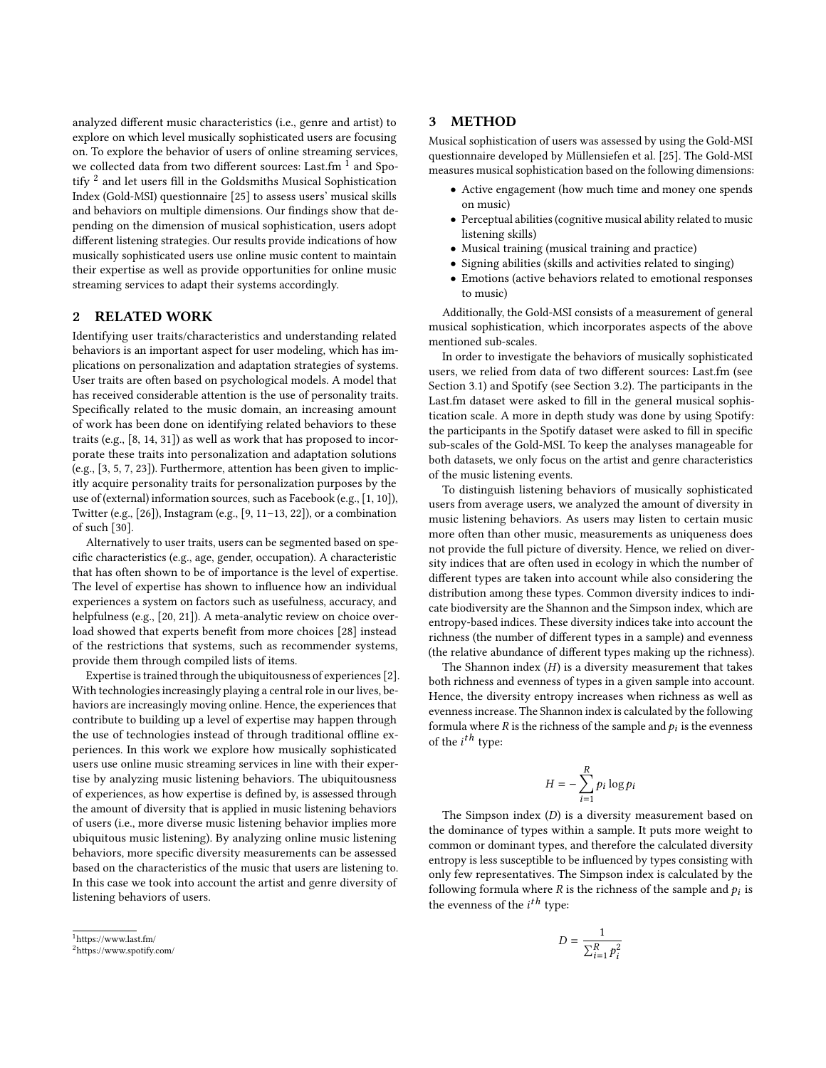analyzed different music characteristics (i.e., genre and artist) to explore on which level musically sophisticated users are focusing on. To explore the behavior of users of online streaming services, we collected data from two different sources: Last.fm  $^1$  $^1$  and Spo-tify <sup>[2](#page-1-1)</sup> and let users fill in the Goldsmiths Musical Sophistication Index (Gold-MSI) questionnaire [\[25\]](#page-4-6) to assess users' musical skills and behaviors on multiple dimensions. Our findings show that depending on the dimension of musical sophistication, users adopt different listening strategies. Our results provide indications of how musically sophisticated users use online music content to maintain their expertise as well as provide opportunities for online music streaming services to adapt their systems accordingly.

## 2 RELATED WORK

Identifying user traits/characteristics and understanding related behaviors is an important aspect for user modeling, which has implications on personalization and adaptation strategies of systems. User traits are often based on psychological models. A model that has received considerable attention is the use of personality traits. Specifically related to the music domain, an increasing amount of work has been done on identifying related behaviors to these traits (e.g., [\[8,](#page-3-1) [14,](#page-3-2) [31\]](#page-4-7)) as well as work that has proposed to incorporate these traits into personalization and adaptation solutions (e.g., [\[3,](#page-3-3) [5,](#page-3-4) [7,](#page-3-5) [23\]](#page-4-8)). Furthermore, attention has been given to implicitly acquire personality traits for personalization purposes by the use of (external) information sources, such as Facebook (e.g., [\[1,](#page-3-6) [10\]](#page-3-7)), Twitter (e.g., [\[26\]](#page-4-9)), Instagram (e.g., [\[9,](#page-3-8) [11](#page-3-9)[–13,](#page-3-10) [22\]](#page-4-10)), or a combination of such [\[30\]](#page-4-11).

Alternatively to user traits, users can be segmented based on specific characteristics (e.g., age, gender, occupation). A characteristic that has often shown to be of importance is the level of expertise. The level of expertise has shown to influence how an individual experiences a system on factors such as usefulness, accuracy, and helpfulness (e.g., [\[20,](#page-4-4) [21\]](#page-4-12)). A meta-analytic review on choice overload showed that experts benefit from more choices [\[28\]](#page-4-5) instead of the restrictions that systems, such as recommender systems, provide them through compiled lists of items.

Expertise is trained through the ubiquitousness of experiences [\[2\]](#page-3-11). With technologies increasingly playing a central role in our lives, behaviors are increasingly moving online. Hence, the experiences that contribute to building up a level of expertise may happen through the use of technologies instead of through traditional offline experiences. In this work we explore how musically sophisticated users use online music streaming services in line with their expertise by analyzing music listening behaviors. The ubiquitousness of experiences, as how expertise is defined by, is assessed through the amount of diversity that is applied in music listening behaviors of users (i.e., more diverse music listening behavior implies more ubiquitous music listening). By analyzing online music listening behaviors, more specific diversity measurements can be assessed based on the characteristics of the music that users are listening to. In this case we took into account the artist and genre diversity of listening behaviors of users.

## 3 METHOD

Musical sophistication of users was assessed by using the Gold-MSI questionnaire developed by Müllensiefen et al. [\[25\]](#page-4-6). The Gold-MSI measures musical sophistication based on the following dimensions:

- Active engagement (how much time and money one spends on music)
- Perceptual abilities (cognitive musical ability related to music listening skills)
- Musical training (musical training and practice)
- Signing abilities (skills and activities related to singing)
- Emotions (active behaviors related to emotional responses to music)

Additionally, the Gold-MSI consists of a measurement of general musical sophistication, which incorporates aspects of the above mentioned sub-scales.

In order to investigate the behaviors of musically sophisticated users, we relied from data of two different sources: Last.fm (see Section [3.1\)](#page-2-0) and Spotify (see Section [3.2\)](#page-2-1). The participants in the Last.fm dataset were asked to fill in the general musical sophistication scale. A more in depth study was done by using Spotify: the participants in the Spotify dataset were asked to fill in specific sub-scales of the Gold-MSI. To keep the analyses manageable for both datasets, we only focus on the artist and genre characteristics of the music listening events.

To distinguish listening behaviors of musically sophisticated users from average users, we analyzed the amount of diversity in music listening behaviors. As users may listen to certain music more often than other music, measurements as uniqueness does not provide the full picture of diversity. Hence, we relied on diversity indices that are often used in ecology in which the number of different types are taken into account while also considering the distribution among these types. Common diversity indices to indicate biodiversity are the Shannon and the Simpson index, which are entropy-based indices. These diversity indices take into account the richness (the number of different types in a sample) and evenness (the relative abundance of different types making up the richness).

The Shannon index  $(H)$  is a diversity measurement that takes both richness and evenness of types in a given sample into account. Hence, the diversity entropy increases when richness as well as evenness increase. The Shannon index is calculated by the following formula where  $R$  is the richness of the sample and  $p_i$  is the evenness of the *i<sup>th</sup>* type:

$$
H = -\sum_{i=1}^R p_i \log p_i
$$

The Simpson index (D) is a diversity measurement based on the dominance of types within a sample. It puts more weight to common or dominant types, and therefore the calculated diversity entropy is less susceptible to be influenced by types consisting with only few representatives. The Simpson index is calculated by the following formula where  $R$  is the richness of the sample and  $p_i$  is the evenness of the  $i^{th}$  type:

$$
D = \frac{1}{\sum_{i=1}^{R} p_i^2}
$$

<span id="page-1-0"></span><sup>1</sup><https://www.last.fm/>

<span id="page-1-1"></span><sup>2</sup><https://www.spotify.com/>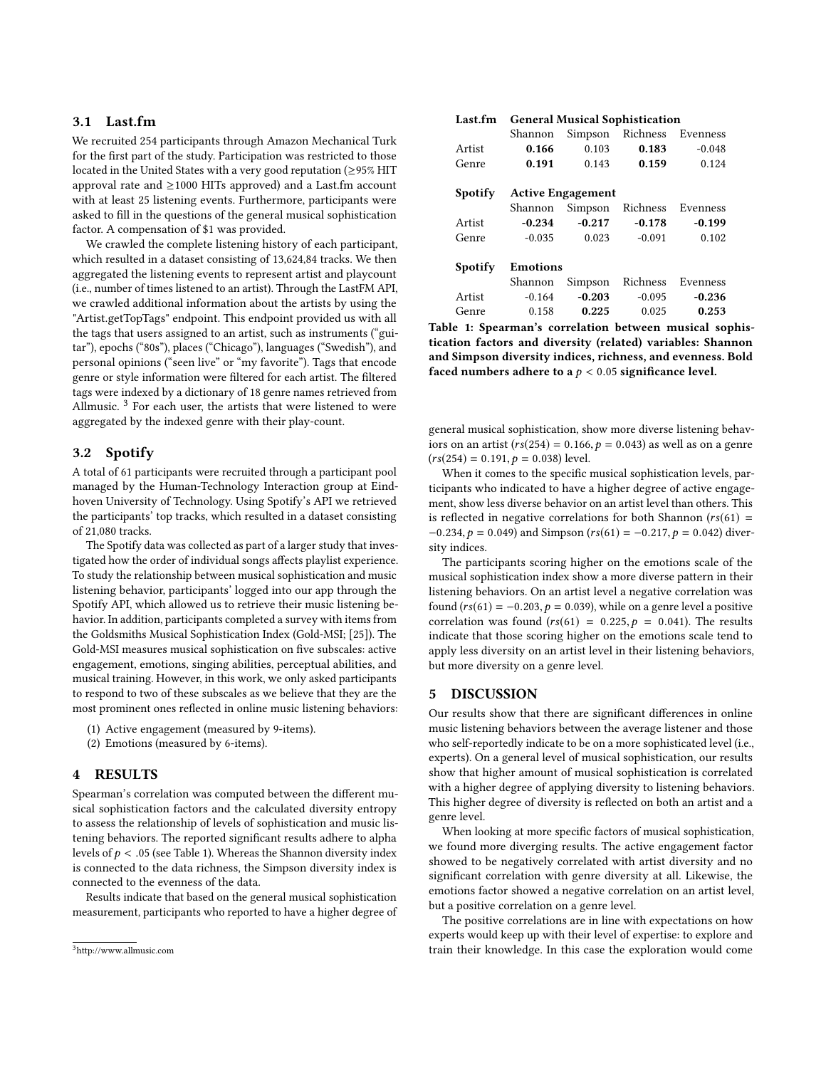# <span id="page-2-0"></span>3.1 Last.fm

We recruited 254 participants through Amazon Mechanical Turk for the first part of the study. Participation was restricted to those located in the United States with a very good reputation (≥95% HIT approval rate and  $\geq$ 1000 HITs approved) and a Last.fm account with at least 25 listening events. Furthermore, participants were asked to fill in the questions of the general musical sophistication factor. A compensation of \$1 was provided.

We crawled the complete listening history of each participant, which resulted in a dataset consisting of 13,624,84 tracks. We then aggregated the listening events to represent artist and playcount (i.e., number of times listened to an artist). Through the LastFM API, we crawled additional information about the artists by using the "Artist.getTopTags" endpoint. This endpoint provided us with all the tags that users assigned to an artist, such as instruments ("guitar"), epochs ("80s"), places ("Chicago"), languages ("Swedish"), and personal opinions ("seen live" or "my favorite"). Tags that encode genre or style information were filtered for each artist. The filtered tags were indexed by a dictionary of 18 genre names retrieved from Allmusic.<sup>[3](#page-2-2)</sup> For each user, the artists that were listened to were aggregated by the indexed genre with their play-count.

## <span id="page-2-1"></span>3.2 Spotify

A total of 61 participants were recruited through a participant pool managed by the Human-Technology Interaction group at Eindhoven University of Technology. Using Spotify's API we retrieved the participants' top tracks, which resulted in a dataset consisting of 21,080 tracks.

The Spotify data was collected as part of a larger study that investigated how the order of individual songs affects playlist experience. To study the relationship between musical sophistication and music listening behavior, participants' logged into our app through the Spotify API, which allowed us to retrieve their music listening behavior. In addition, participants completed a survey with items from the Goldsmiths Musical Sophistication Index (Gold-MSI; [\[25\]](#page-4-6)). The Gold-MSI measures musical sophistication on five subscales: active engagement, emotions, singing abilities, perceptual abilities, and musical training. However, in this work, we only asked participants to respond to two of these subscales as we believe that they are the most prominent ones reflected in online music listening behaviors:

- (1) Active engagement (measured by 9-items).
- (2) Emotions (measured by 6-items).

## 4 RESULTS

Spearman's correlation was computed between the different musical sophistication factors and the calculated diversity entropy to assess the relationship of levels of sophistication and music listening behaviors. The reported significant results adhere to alpha levels of  $p < 0.05$  (see Table [1\)](#page-2-3). Whereas the Shannon diversity index is connected to the data richness, the Simpson diversity index is connected to the evenness of the data.

Results indicate that based on the general musical sophistication measurement, participants who reported to have a higher degree of

<span id="page-2-3"></span>

|         | Shannon                  | Simpson  |          | Richness Evenness |
|---------|--------------------------|----------|----------|-------------------|
| Artist  | 0.166                    | 0.103    | 0.183    | $-0.048$          |
| Genre   | 0.191                    | 0.143    | 0.159    | 0.124             |
|         |                          |          |          |                   |
| Spotify | <b>Active Engagement</b> |          |          |                   |
|         | Shannon Simpson          |          | Richness | Evenness          |
| Artist  | $-0.234$                 | $-0.217$ |          | $-0.178$ $-0.199$ |
| Genre   | $-0.035$                 | 0.023    | $-0.091$ | 0.102             |
|         |                          |          |          |                   |
| Spotify | <b>Emotions</b>          |          |          |                   |
|         | Shannon                  | Simpson  | Richness | Evenness          |
| Artist  | $-0.164$                 | $-0.203$ | $-0.095$ | $-0.236$          |
| Genre   | 0.158                    | 0.225    | 0.025    | 0.253             |
|         |                          |          |          |                   |

Table 1: Spearman's correlation between musical sophistication factors and diversity (related) variables: Shannon and Simpson diversity indices, richness, and evenness. Bold faced numbers adhere to a  $p < 0.05$  significance level.

general musical sophistication, show more diverse listening behaviors on an artist ( $rs(254) = 0.166$ ,  $p = 0.043$ ) as well as on a genre  $(rs(254) = 0.191, p = 0.038)$  level.

When it comes to the specific musical sophistication levels, participants who indicated to have a higher degree of active engagement, show less diverse behavior on an artist level than others. This is reflected in negative correlations for both Shannon ( $rs(61)$  =  $-0.234, p = 0.049$ ) and Simpson ( $rs(61) = -0.217, p = 0.042$ ) diversity indices.

The participants scoring higher on the emotions scale of the musical sophistication index show a more diverse pattern in their listening behaviors. On an artist level a negative correlation was found ( $rs(61) = -0.203$ ,  $p = 0.039$ ), while on a genre level a positive correlation was found  $(rs(61) = 0.225, p = 0.041)$ . The results indicate that those scoring higher on the emotions scale tend to apply less diversity on an artist level in their listening behaviors, but more diversity on a genre level.

## 5 DISCUSSION

Our results show that there are significant differences in online music listening behaviors between the average listener and those who self-reportedly indicate to be on a more sophisticated level (i.e., experts). On a general level of musical sophistication, our results show that higher amount of musical sophistication is correlated with a higher degree of applying diversity to listening behaviors. This higher degree of diversity is reflected on both an artist and a genre level.

When looking at more specific factors of musical sophistication, we found more diverging results. The active engagement factor showed to be negatively correlated with artist diversity and no significant correlation with genre diversity at all. Likewise, the emotions factor showed a negative correlation on an artist level, but a positive correlation on a genre level.

The positive correlations are in line with expectations on how experts would keep up with their level of expertise: to explore and train their knowledge. In this case the exploration would come

<span id="page-2-2"></span><sup>3</sup><http://www.allmusic.com>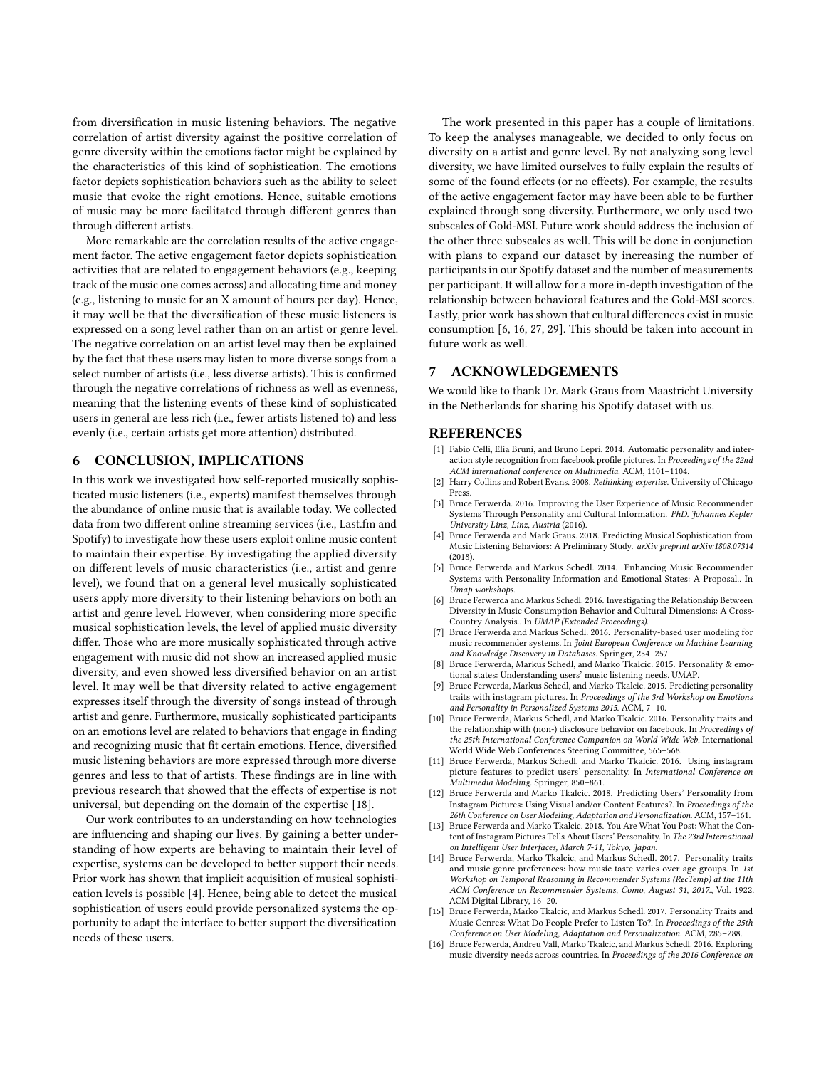from diversification in music listening behaviors. The negative correlation of artist diversity against the positive correlation of genre diversity within the emotions factor might be explained by the characteristics of this kind of sophistication. The emotions factor depicts sophistication behaviors such as the ability to select music that evoke the right emotions. Hence, suitable emotions of music may be more facilitated through different genres than through different artists.

More remarkable are the correlation results of the active engagement factor. The active engagement factor depicts sophistication activities that are related to engagement behaviors (e.g., keeping track of the music one comes across) and allocating time and money (e.g., listening to music for an X amount of hours per day). Hence, it may well be that the diversification of these music listeners is expressed on a song level rather than on an artist or genre level. The negative correlation on an artist level may then be explained by the fact that these users may listen to more diverse songs from a select number of artists (i.e., less diverse artists). This is confirmed through the negative correlations of richness as well as evenness, meaning that the listening events of these kind of sophisticated users in general are less rich (i.e., fewer artists listened to) and less evenly (i.e., certain artists get more attention) distributed.

## 6 CONCLUSION, IMPLICATIONS

In this work we investigated how self-reported musically sophisticated music listeners (i.e., experts) manifest themselves through the abundance of online music that is available today. We collected data from two different online streaming services (i.e., Last.fm and Spotify) to investigate how these users exploit online music content to maintain their expertise. By investigating the applied diversity on different levels of music characteristics (i.e., artist and genre level), we found that on a general level musically sophisticated users apply more diversity to their listening behaviors on both an artist and genre level. However, when considering more specific musical sophistication levels, the level of applied music diversity differ. Those who are more musically sophisticated through active engagement with music did not show an increased applied music diversity, and even showed less diversified behavior on an artist level. It may well be that diversity related to active engagement expresses itself through the diversity of songs instead of through artist and genre. Furthermore, musically sophisticated participants on an emotions level are related to behaviors that engage in finding and recognizing music that fit certain emotions. Hence, diversified music listening behaviors are more expressed through more diverse genres and less to that of artists. These findings are in line with previous research that showed that the effects of expertise is not universal, but depending on the domain of the expertise [\[18\]](#page-4-13).

Our work contributes to an understanding on how technologies are influencing and shaping our lives. By gaining a better understanding of how experts are behaving to maintain their level of expertise, systems can be developed to better support their needs. Prior work has shown that implicit acquisition of musical sophistication levels is possible [\[4\]](#page-3-12). Hence, being able to detect the musical sophistication of users could provide personalized systems the opportunity to adapt the interface to better support the diversification needs of these users.

The work presented in this paper has a couple of limitations. To keep the analyses manageable, we decided to only focus on diversity on a artist and genre level. By not analyzing song level diversity, we have limited ourselves to fully explain the results of some of the found effects (or no effects). For example, the results of the active engagement factor may have been able to be further explained through song diversity. Furthermore, we only used two subscales of Gold-MSI. Future work should address the inclusion of the other three subscales as well. This will be done in conjunction with plans to expand our dataset by increasing the number of participants in our Spotify dataset and the number of measurements per participant. It will allow for a more in-depth investigation of the relationship between behavioral features and the Gold-MSI scores. Lastly, prior work has shown that cultural differences exist in music consumption [\[6,](#page-3-13) [16,](#page-3-14) [27,](#page-4-14) [29\]](#page-4-15). This should be taken into account in future work as well.

## 7 ACKNOWLEDGEMENTS

We would like to thank Dr. Mark Graus from Maastricht University in the Netherlands for sharing his Spotify dataset with us.

### REFERENCES

- <span id="page-3-6"></span>[1] Fabio Celli, Elia Bruni, and Bruno Lepri. 2014. Automatic personality and interaction style recognition from facebook profile pictures. In Proceedings of the 22nd ACM international conference on Multimedia. ACM, 1101–1104.
- <span id="page-3-11"></span>[2] Harry Collins and Robert Evans. 2008. Rethinking expertise. University of Chicago Press.
- <span id="page-3-3"></span>[3] Bruce Ferwerda. 2016. Improving the User Experience of Music Recommender Systems Through Personality and Cultural Information. PhD. Johannes Kepler University Linz, Linz, Austria (2016).
- <span id="page-3-12"></span>[4] Bruce Ferwerda and Mark Graus. 2018. Predicting Musical Sophistication from Music Listening Behaviors: A Preliminary Study. arXiv preprint arXiv:1808.07314 (2018).
- <span id="page-3-4"></span>[5] Bruce Ferwerda and Markus Schedl. 2014. Enhancing Music Recommender Systems with Personality Information and Emotional States: A Proposal.. In Umap workshops.
- <span id="page-3-13"></span>[6] Bruce Ferwerda and Markus Schedl. 2016. Investigating the Relationship Between Diversity in Music Consumption Behavior and Cultural Dimensions: A Cross-Country Analysis.. In UMAP (Extended Proceedings).
- <span id="page-3-5"></span>[7] Bruce Ferwerda and Markus Schedl. 2016. Personality-based user modeling for music recommender systems. In Joint European Conference on Machine Learning and Knowledge Discovery in Databases. Springer, 254–257.
- <span id="page-3-1"></span>Bruce Ferwerda, Markus Schedl, and Marko Tkalcic. 2015. Personality & emotional states: Understanding users' music listening needs. UMAP.
- <span id="page-3-8"></span>[9] Bruce Ferwerda, Markus Schedl, and Marko Tkalcic. 2015. Predicting personality traits with instagram pictures. In Proceedings of the 3rd Workshop on Emotions and Personality in Personalized Systems 2015. ACM, 7–10.
- <span id="page-3-7"></span>[10] Bruce Ferwerda, Markus Schedl, and Marko Tkalcic. 2016. Personality traits and the relationship with (non-) disclosure behavior on facebook. In Proceedings of the 25th International Conference Companion on World Wide Web. International World Wide Web Conferences Steering Committee, 565–568.
- <span id="page-3-9"></span>[11] Bruce Ferwerda, Markus Schedl, and Marko Tkalcic, 2016. Using instagram picture features to predict users' personality. In International Conference on Multimedia Modeling. Springer, 850–861.
- [12] Bruce Ferwerda and Marko Tkalcic. 2018. Predicting Users' Personality from Instagram Pictures: Using Visual and/or Content Features?. In Proceedings of the 26th Conference on User Modeling, Adaptation and Personalization. ACM, 157–161.
- <span id="page-3-10"></span>[13] Bruce Ferwerda and Marko Tkalcic. 2018. You Are What You Post: What the Content of Instagram Pictures Tells About Users' Personality. In The 23rd International on Intelligent User Interfaces, March 7-11, Tokyo, Japan.
- <span id="page-3-2"></span>[14] Bruce Ferwerda, Marko Tkalcic, and Markus Schedl. 2017. Personality traits and music genre preferences: how music taste varies over age groups. In 1st Workshop on Temporal Reasoning in Recommender Systems (RecTemp) at the 11th ACM Conference on Recommender Systems, Como, August 31, 2017., Vol. 1922. ACM Digital Library, 16–20.
- <span id="page-3-0"></span>[15] Bruce Ferwerda, Marko Tkalcic, and Markus Schedl. 2017. Personality Traits and Music Genres: What Do People Prefer to Listen To?. In Proceedings of the 25th Conference on User Modeling, Adaptation and Personalization. ACM, 285–288.
- <span id="page-3-14"></span>[16] Bruce Ferwerda, Andreu Vall, Marko Tkalcic, and Markus Schedl. 2016. Exploring music diversity needs across countries. In Proceedings of the 2016 Conference on